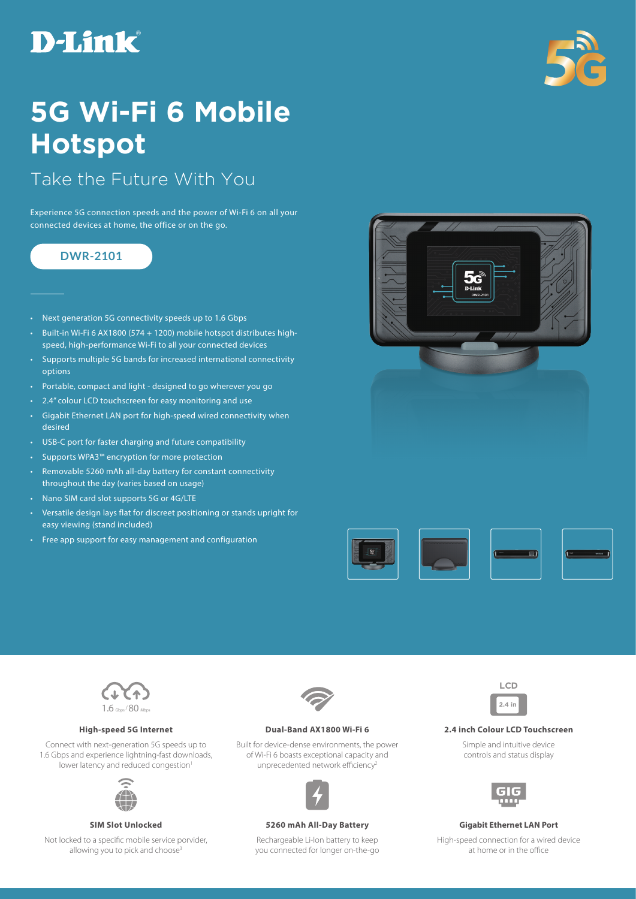# **D-Link**



## **5G Wi-Fi 6 Mobile Hotspot**

## Take the Future With You

Experience 5G connection speeds and the power of Wi-Fi 6 on all your connected devices at home, the office or on the go.

## **DWR-2101**

- Next generation 5G connectivity speeds up to 1.6 Gbps
- Built-in Wi-Fi 6 AX1800 (574 + 1200) mobile hotspot distributes highspeed, high-performance Wi-Fi to all your connected devices
- Supports multiple 5G bands for increased international connectivity options
- Portable, compact and light designed to go wherever you go
- 2.4" colour LCD touchscreen for easy monitoring and use
- Gigabit Ethernet LAN port for high-speed wired connectivity when desired
- USB-C port for faster charging and future compatibility
- Supports WPA3™ encryption for more protection
- Removable 5260 mAh all-day battery for constant connectivity throughout the day (varies based on usage)
- Nano SIM card slot supports 5G or 4G/LTE
- Versatile design lays flat for discreet positioning or stands upright for easy viewing (stand included)
- Free app support for easy management and configuration







Connect with next-generation 5G speeds up to 1.6 Gbps and experience lightning-fast downloads, lower latency and reduced congestion<sup>1</sup>



Not locked to a specific mobile service porvider, allowing you to pick and choose<sup>3</sup>



Built for device-dense environments, the power of Wi-Fi 6 boasts exceptional capacity and unprecedented network efficiency<sup>2</sup>



#### **SIM Slot Unlocked 5260 mAh All-Day Battery Gigabit Ethernet LAN Port**

Rechargeable Li-Ion battery to keep you connected for longer on-the-go



### **High-speed 5G Internet Dual-Band AX1800 Wi-Fi 6 2.4 inch Colour LCD Touchscreen**

Simple and intuitive device controls and status display



High-speed connection for a wired device at home or in the office